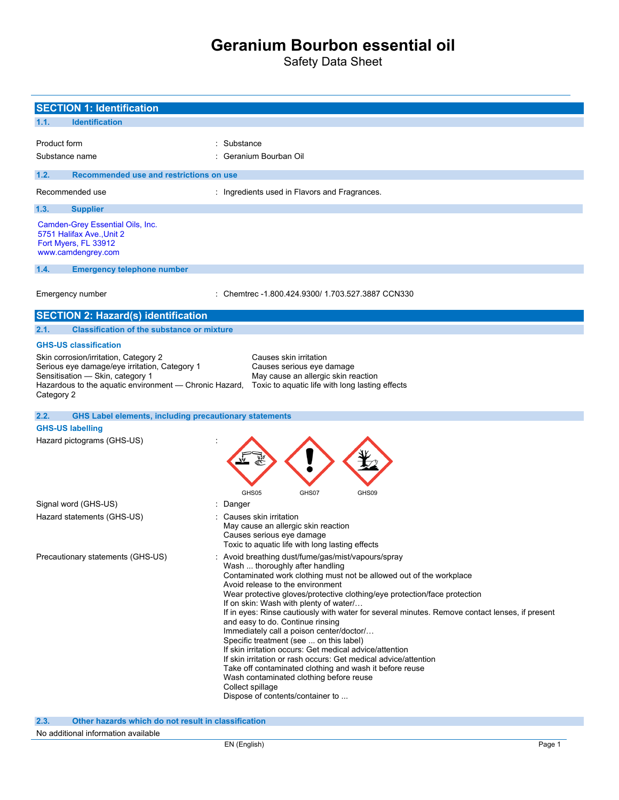# **Geranium Bourbon essential oil**

Safety Data Sheet

|                | <b>SECTION 1: Identification</b>                                                                                                                                                     |                                                                                                                                                                                                                                                                                                                                                                                                                                                                                                                                                                                                                                                                                                                                                                                                                                                  |
|----------------|--------------------------------------------------------------------------------------------------------------------------------------------------------------------------------------|--------------------------------------------------------------------------------------------------------------------------------------------------------------------------------------------------------------------------------------------------------------------------------------------------------------------------------------------------------------------------------------------------------------------------------------------------------------------------------------------------------------------------------------------------------------------------------------------------------------------------------------------------------------------------------------------------------------------------------------------------------------------------------------------------------------------------------------------------|
| 1.1.           | <b>Identification</b>                                                                                                                                                                |                                                                                                                                                                                                                                                                                                                                                                                                                                                                                                                                                                                                                                                                                                                                                                                                                                                  |
| Product form   |                                                                                                                                                                                      | Substance                                                                                                                                                                                                                                                                                                                                                                                                                                                                                                                                                                                                                                                                                                                                                                                                                                        |
| Substance name |                                                                                                                                                                                      | Geranium Bourban Oil                                                                                                                                                                                                                                                                                                                                                                                                                                                                                                                                                                                                                                                                                                                                                                                                                             |
|                |                                                                                                                                                                                      |                                                                                                                                                                                                                                                                                                                                                                                                                                                                                                                                                                                                                                                                                                                                                                                                                                                  |
| 1.2.           | Recommended use and restrictions on use                                                                                                                                              |                                                                                                                                                                                                                                                                                                                                                                                                                                                                                                                                                                                                                                                                                                                                                                                                                                                  |
|                | Recommended use                                                                                                                                                                      | : Ingredients used in Flavors and Fragrances.                                                                                                                                                                                                                                                                                                                                                                                                                                                                                                                                                                                                                                                                                                                                                                                                    |
| 1.3.           | <b>Supplier</b>                                                                                                                                                                      |                                                                                                                                                                                                                                                                                                                                                                                                                                                                                                                                                                                                                                                                                                                                                                                                                                                  |
|                | Camden-Grey Essential Oils, Inc.<br>5751 Halifax Ave., Unit 2<br>Fort Myers, FL 33912<br>www.camdengrey.com                                                                          |                                                                                                                                                                                                                                                                                                                                                                                                                                                                                                                                                                                                                                                                                                                                                                                                                                                  |
| 1.4.           | <b>Emergency telephone number</b>                                                                                                                                                    |                                                                                                                                                                                                                                                                                                                                                                                                                                                                                                                                                                                                                                                                                                                                                                                                                                                  |
|                | Emergency number                                                                                                                                                                     | : Chemtrec -1.800.424.9300/1.703.527.3887 CCN330                                                                                                                                                                                                                                                                                                                                                                                                                                                                                                                                                                                                                                                                                                                                                                                                 |
|                | <b>SECTION 2: Hazard(s) identification</b>                                                                                                                                           |                                                                                                                                                                                                                                                                                                                                                                                                                                                                                                                                                                                                                                                                                                                                                                                                                                                  |
| 2.1.           | <b>Classification of the substance or mixture</b>                                                                                                                                    |                                                                                                                                                                                                                                                                                                                                                                                                                                                                                                                                                                                                                                                                                                                                                                                                                                                  |
|                | <b>GHS-US classification</b>                                                                                                                                                         |                                                                                                                                                                                                                                                                                                                                                                                                                                                                                                                                                                                                                                                                                                                                                                                                                                                  |
| Category 2     | Skin corrosion/irritation, Category 2<br>Serious eye damage/eye irritation, Category 1<br>Sensitisation - Skin, category 1<br>Hazardous to the aquatic environment - Chronic Hazard, | Causes skin irritation<br>Causes serious eye damage<br>May cause an allergic skin reaction<br>Toxic to aquatic life with long lasting effects                                                                                                                                                                                                                                                                                                                                                                                                                                                                                                                                                                                                                                                                                                    |
| 2.2.           | <b>GHS Label elements, including precautionary statements</b>                                                                                                                        |                                                                                                                                                                                                                                                                                                                                                                                                                                                                                                                                                                                                                                                                                                                                                                                                                                                  |
|                | <b>GHS-US labelling</b>                                                                                                                                                              |                                                                                                                                                                                                                                                                                                                                                                                                                                                                                                                                                                                                                                                                                                                                                                                                                                                  |
|                | Hazard pictograms (GHS-US)                                                                                                                                                           | GHS05<br>GHS07<br>GHS09                                                                                                                                                                                                                                                                                                                                                                                                                                                                                                                                                                                                                                                                                                                                                                                                                          |
|                | Signal word (GHS-US)                                                                                                                                                                 | : Danger                                                                                                                                                                                                                                                                                                                                                                                                                                                                                                                                                                                                                                                                                                                                                                                                                                         |
|                | Hazard statements (GHS-US)                                                                                                                                                           | Causes skin irritation<br>May cause an allergic skin reaction<br>Causes serious eye damage<br>Toxic to aquatic life with long lasting effects                                                                                                                                                                                                                                                                                                                                                                                                                                                                                                                                                                                                                                                                                                    |
|                | Precautionary statements (GHS-US)                                                                                                                                                    | : Avoid breathing dust/fume/gas/mist/vapours/spray<br>Wash  thoroughly after handling<br>Contaminated work clothing must not be allowed out of the workplace<br>Avoid release to the environment<br>Wear protective gloves/protective clothing/eye protection/face protection<br>If on skin: Wash with plenty of water/<br>If in eyes: Rinse cautiously with water for several minutes. Remove contact lenses, if present<br>and easy to do. Continue rinsing<br>Immediately call a poison center/doctor/<br>Specific treatment (see  on this label)<br>If skin irritation occurs: Get medical advice/attention<br>If skin irritation or rash occurs: Get medical advice/attention<br>Take off contaminated clothing and wash it before reuse<br>Wash contaminated clothing before reuse<br>Collect spillage<br>Dispose of contents/container to |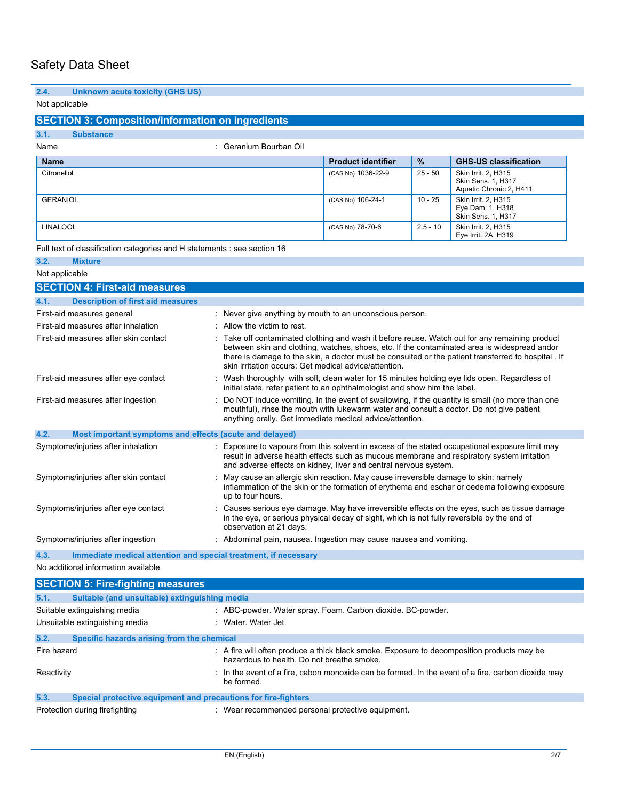# **2.4. Unknown acute toxicity (GHS US)**

Not applicable

### **SECTION 3: Composition/information on ingredients**

### **3.1. Substance**

#### Name : Geranium Bourban Oil

| <b>Name</b>     | <b>Product identifier</b> | $\frac{9}{6}$ | <b>GHS-US classification</b>                                         |
|-----------------|---------------------------|---------------|----------------------------------------------------------------------|
| Citronellol     | (CAS No) 1036-22-9        | $25 - 50$     | Skin Irrit. 2, H315<br>Skin Sens. 1, H317<br>Aquatic Chronic 2, H411 |
| <b>GERANIOL</b> | (CAS No) 106-24-1         | 10 - 25       | Skin Irrit. 2, H315<br>Eye Dam. 1, H318<br>Skin Sens. 1, H317        |
| <b>LINALOOL</b> | (CAS No) 78-70-6          | $2.5 - 10$    | Skin Irrit. 2, H315<br>Eye Irrit. 2A, H319                           |

Full text of classification categories and H statements : see section 16

#### **3.2. Mixture** Not applicable

| <b>SECTION 4: First-aid measures</b>                                    |                                                                                                                                                                                                                                                                                                                                                             |  |  |  |
|-------------------------------------------------------------------------|-------------------------------------------------------------------------------------------------------------------------------------------------------------------------------------------------------------------------------------------------------------------------------------------------------------------------------------------------------------|--|--|--|
| 4.1.<br><b>Description of first aid measures</b>                        |                                                                                                                                                                                                                                                                                                                                                             |  |  |  |
| First-aid measures general                                              | : Never give anything by mouth to an unconscious person.                                                                                                                                                                                                                                                                                                    |  |  |  |
| First-aid measures after inhalation                                     | : Allow the victim to rest.                                                                                                                                                                                                                                                                                                                                 |  |  |  |
| First-aid measures after skin contact                                   | Take off contaminated clothing and wash it before reuse. Watch out for any remaining product<br>between skin and clothing, watches, shoes, etc. If the contaminated area is widespread andor<br>there is damage to the skin, a doctor must be consulted or the patient transferred to hospital. If<br>skin irritation occurs: Get medical advice/attention. |  |  |  |
| First-aid measures after eye contact                                    | Wash thoroughly with soft, clean water for 15 minutes holding eye lids open. Regardless of<br>initial state, refer patient to an ophthalmologist and show him the label.                                                                                                                                                                                    |  |  |  |
| First-aid measures after ingestion                                      | Do NOT induce vomiting. In the event of swallowing, if the quantity is small (no more than one<br>mouthful), rinse the mouth with lukewarm water and consult a doctor. Do not give patient<br>anything orally. Get immediate medical advice/attention.                                                                                                      |  |  |  |
| 4.2.<br>Most important symptoms and effects (acute and delayed)         |                                                                                                                                                                                                                                                                                                                                                             |  |  |  |
| Symptoms/injuries after inhalation                                      | Exposure to vapours from this solvent in excess of the stated occupational exposure limit may<br>result in adverse health effects such as mucous membrane and respiratory system irritation<br>and adverse effects on kidney, liver and central nervous system.                                                                                             |  |  |  |
| Symptoms/injuries after skin contact                                    | May cause an allergic skin reaction. May cause irreversible damage to skin: namely<br>inflammation of the skin or the formation of erythema and eschar or oedema following exposure<br>up to four hours.                                                                                                                                                    |  |  |  |
| Symptoms/injuries after eye contact                                     | Causes serious eye damage. May have irreversible effects on the eyes, such as tissue damage<br>in the eye, or serious physical decay of sight, which is not fully reversible by the end of<br>observation at 21 days.                                                                                                                                       |  |  |  |
| Symptoms/injuries after ingestion                                       | : Abdominal pain, nausea. Ingestion may cause nausea and vomiting.                                                                                                                                                                                                                                                                                          |  |  |  |
| 4.3.<br>Immediate medical attention and special treatment, if necessary |                                                                                                                                                                                                                                                                                                                                                             |  |  |  |
| No additional information available                                     |                                                                                                                                                                                                                                                                                                                                                             |  |  |  |
| <b>SECTION 5: Fire-fighting measures</b>                                |                                                                                                                                                                                                                                                                                                                                                             |  |  |  |
| 5.1.<br>Suitable (and unsuitable) extinguishing media                   |                                                                                                                                                                                                                                                                                                                                                             |  |  |  |
| Suitable extinguishing media                                            | : ABC-powder. Water spray. Foam. Carbon dioxide. BC-powder.                                                                                                                                                                                                                                                                                                 |  |  |  |

|                                | <b>Pandono Oxtingaloring inpaid</b>                            |                                                                                                                                        |
|--------------------------------|----------------------------------------------------------------|----------------------------------------------------------------------------------------------------------------------------------------|
| Unsuitable extinguishing media |                                                                | : Water Water Jet.                                                                                                                     |
| 5.2.                           | Specific hazards arising from the chemical                     |                                                                                                                                        |
| Fire hazard                    |                                                                | A fire will often produce a thick black smoke. Exposure to decomposition products may be<br>hazardous to health. Do not breathe smoke. |
| Reactivity                     |                                                                | : In the event of a fire, cabon monoxide can be formed. In the event of a fire, carbon dioxide may<br>be formed.                       |
| 5.3.                           | Special protective equipment and precautions for fire-fighters |                                                                                                                                        |
|                                | Protection during firefighting                                 | : Wear recommended personal protective equipment.                                                                                      |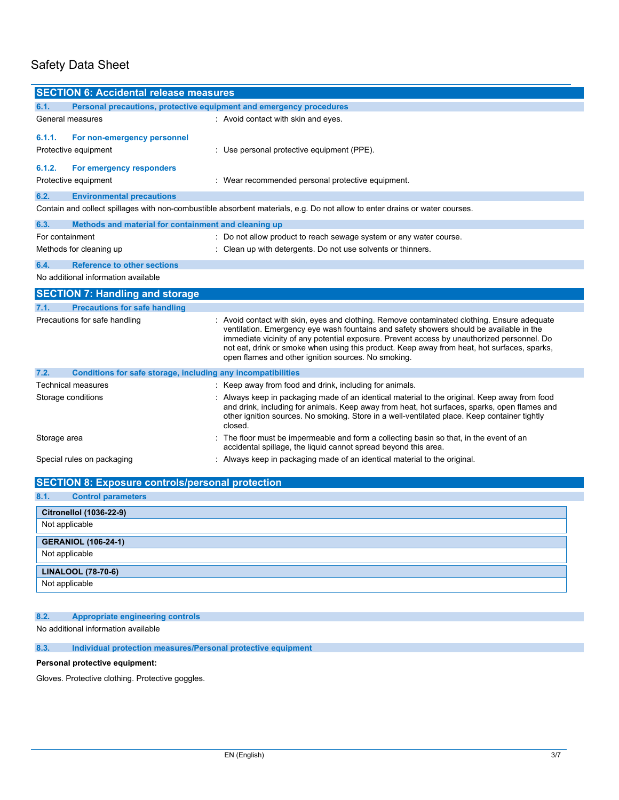| <b>SECTION 6: Accidental release measures</b> |                                                                     |                                                                                                                                                                                                                                                                                                                                                                                                                                            |  |  |  |
|-----------------------------------------------|---------------------------------------------------------------------|--------------------------------------------------------------------------------------------------------------------------------------------------------------------------------------------------------------------------------------------------------------------------------------------------------------------------------------------------------------------------------------------------------------------------------------------|--|--|--|
| 6.1.                                          | Personal precautions, protective equipment and emergency procedures |                                                                                                                                                                                                                                                                                                                                                                                                                                            |  |  |  |
| General measures                              |                                                                     | : Avoid contact with skin and eyes.                                                                                                                                                                                                                                                                                                                                                                                                        |  |  |  |
|                                               |                                                                     |                                                                                                                                                                                                                                                                                                                                                                                                                                            |  |  |  |
| 6.1.1.                                        | For non-emergency personnel                                         |                                                                                                                                                                                                                                                                                                                                                                                                                                            |  |  |  |
| Protective equipment                          |                                                                     | : Use personal protective equipment (PPE).                                                                                                                                                                                                                                                                                                                                                                                                 |  |  |  |
| 6.1.2.                                        | For emergency responders                                            |                                                                                                                                                                                                                                                                                                                                                                                                                                            |  |  |  |
| Protective equipment                          |                                                                     | : Wear recommended personal protective equipment.                                                                                                                                                                                                                                                                                                                                                                                          |  |  |  |
| 6.2.                                          | <b>Environmental precautions</b>                                    |                                                                                                                                                                                                                                                                                                                                                                                                                                            |  |  |  |
|                                               |                                                                     | Contain and collect spillages with non-combustible absorbent materials, e.g. Do not allow to enter drains or water courses.                                                                                                                                                                                                                                                                                                                |  |  |  |
| 6.3.                                          | Methods and material for containment and cleaning up                |                                                                                                                                                                                                                                                                                                                                                                                                                                            |  |  |  |
| For containment                               |                                                                     | Do not allow product to reach sewage system or any water course.                                                                                                                                                                                                                                                                                                                                                                           |  |  |  |
| Methods for cleaning up                       |                                                                     | : Clean up with detergents. Do not use solvents or thinners.                                                                                                                                                                                                                                                                                                                                                                               |  |  |  |
| 6.4.                                          | <b>Reference to other sections</b>                                  |                                                                                                                                                                                                                                                                                                                                                                                                                                            |  |  |  |
| No additional information available           |                                                                     |                                                                                                                                                                                                                                                                                                                                                                                                                                            |  |  |  |
|                                               | <b>SECTION 7: Handling and storage</b>                              |                                                                                                                                                                                                                                                                                                                                                                                                                                            |  |  |  |
| 7.1.                                          | <b>Precautions for safe handling</b>                                |                                                                                                                                                                                                                                                                                                                                                                                                                                            |  |  |  |
| Precautions for safe handling                 |                                                                     | : Avoid contact with skin, eyes and clothing. Remove contaminated clothing. Ensure adequate<br>ventilation. Emergency eye wash fountains and safety showers should be available in the<br>immediate vicinity of any potential exposure. Prevent access by unauthorized personnel. Do<br>not eat, drink or smoke when using this product. Keep away from heat, hot surfaces, sparks,<br>open flames and other ignition sources. No smoking. |  |  |  |
| 7.2.                                          | Conditions for safe storage, including any incompatibilities        |                                                                                                                                                                                                                                                                                                                                                                                                                                            |  |  |  |
| Technical measures                            |                                                                     | : Keep away from food and drink, including for animals.                                                                                                                                                                                                                                                                                                                                                                                    |  |  |  |
| Storage conditions                            |                                                                     | : Always keep in packaging made of an identical material to the original. Keep away from food<br>and drink, including for animals. Keep away from heat, hot surfaces, sparks, open flames and<br>other ignition sources. No smoking. Store in a well-ventilated place. Keep container tightly<br>closed.                                                                                                                                   |  |  |  |
| Storage area                                  |                                                                     | : The floor must be impermeable and form a collecting basin so that, in the event of an<br>accidental spillage, the liquid cannot spread beyond this area.                                                                                                                                                                                                                                                                                 |  |  |  |
| Special rules on packaging                    |                                                                     | : Always keep in packaging made of an identical material to the original.                                                                                                                                                                                                                                                                                                                                                                  |  |  |  |
|                                               | <b>SECTION 8: Exposure controls/personal protection</b>             |                                                                                                                                                                                                                                                                                                                                                                                                                                            |  |  |  |

| 8.1.<br><b>Control parameters</b> |  |  |  |  |
|-----------------------------------|--|--|--|--|
| <b>Citronellol (1036-22-9)</b>    |  |  |  |  |
| Not applicable                    |  |  |  |  |
| <b>GERANIOL (106-24-1)</b>        |  |  |  |  |
| Not applicable                    |  |  |  |  |
| <b>LINALOOL (78-70-6)</b>         |  |  |  |  |
| Not applicable                    |  |  |  |  |

### **8.2. Appropriate engineering controls**

No additional information available

### **8.3. Individual protection measures/Personal protective equipment**

### **Personal protective equipment:**

Gloves. Protective clothing. Protective goggles.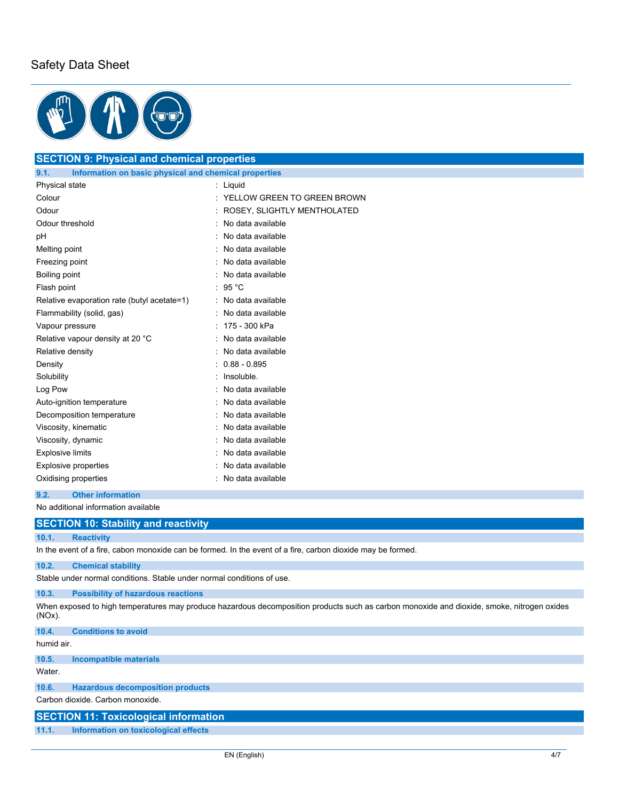

### **SECTION 9: Physical and chemical properties 9.1. Information on basic physical and chemical properties** Physical state : Liquid Colour : YELLOW GREEN TO GREEN BROWN Odour Contract Contract Contract Contract Contract Contract Contract Contract Contract Contract Contract Contract Contract Contract Contract Contract Contract Contract Contract Contract Contract Contract Contract Contract Odour threshold is a set of the state of the state of the state of the state of the state of the state of the state of the state of the state of the state of the state of the state of the state of the state of the state of pH : No data available Melting point **in the case of the case of the case of the case of the case of the case of the case of the case of the case of the case of the case of the case of the case of the case of the case of the case of the case of** Freezing point **in the case of the Contract Contract Contract Contract Contract Contract Contract Contract Contract Contract Contract Contract Contract Contract Contract Contract Contract Contract Contract Contract Contrac** Boiling point **Example 20** Solid Resolution of the Solid Resolution of the Solid Resolution of the Solid Resolution of the Solid Resolution of the Solid Resolution of the Solid Resolution of the Solid Resolution of the Sol Flash point : 95 °C Relative evaporation rate (butyl acetate=1) : No data available Flammability (solid, gas)  $\blacksquare$  : No data available Vapour pressure in the set of the set of the set of the value of the value of the value of the value of the value of the value of the value of the value of the value of the value of the value of the value of the value of t Relative vapour density at 20 °C : No data available Relative density **EXECUTE:** No data available Density : 0.88 - 0.895 Solubility : Insoluble. Log Pow **: No data available** Auto-ignition temperature **interests** : No data available

Decomposition temperature : No data available Viscosity, kinematic **intervalse in the Contract Contract Contract Contract Contract Contract Contract Contract Contract Contract Contract Contract Contract Contract Contract Contract Contract Contract Contract Contract Co** Viscosity, dynamic **intervalse in the Contract of Contract Available** : No data available Explosive limits **Explosive limits Explosive limits Explosive limits EXPLOSIVE 2018** Explosive properties in the set of the set of the set of the set of the set of the set of the set of the set of the set of the set of the set of the set of the set of the set of the set of the set of the set of the set of Oxidising properties **in the Community Community** Contains a No data available

#### **9.2. Other information**

No additional information available

|            | <b>SECTION 10: Stability and reactivity</b>                                                                                                |     |
|------------|--------------------------------------------------------------------------------------------------------------------------------------------|-----|
| 10.1.      | <b>Reactivity</b>                                                                                                                          |     |
|            | In the event of a fire, cabon monoxide can be formed. In the event of a fire, carbon dioxide may be formed.                                |     |
| 10.2.      | <b>Chemical stability</b>                                                                                                                  |     |
|            | Stable under normal conditions. Stable under normal conditions of use.                                                                     |     |
| 10.3.      | <b>Possibility of hazardous reactions</b>                                                                                                  |     |
| $(NOx)$ .  | When exposed to high temperatures may produce hazardous decomposition products such as carbon monoxide and dioxide, smoke, nitrogen oxides |     |
| 10.4.      | <b>Conditions to avoid</b>                                                                                                                 |     |
| humid air. |                                                                                                                                            |     |
| 10.5.      | <b>Incompatible materials</b>                                                                                                              |     |
| Water.     |                                                                                                                                            |     |
| 10.6.      | <b>Hazardous decomposition products</b>                                                                                                    |     |
|            | Carbon dioxide. Carbon monoxide.                                                                                                           |     |
|            | <b>SECTION 11: Toxicological information</b>                                                                                               |     |
| 11.1.      | Information on toxicological effects                                                                                                       |     |
|            |                                                                                                                                            |     |
|            | EN (English)                                                                                                                               | 4/7 |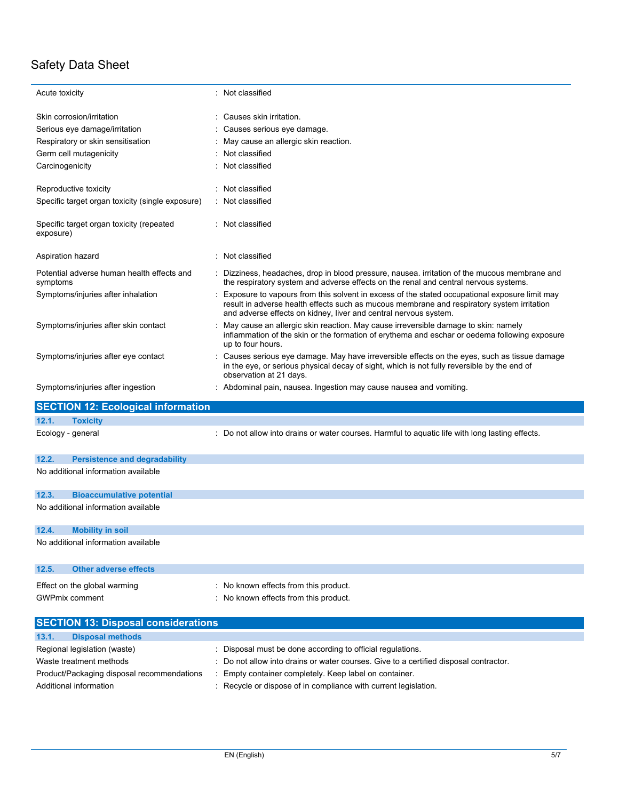| Acute toxicity                                                                                                                               | : Not classified                                                                                                                                                                                                                                                |
|----------------------------------------------------------------------------------------------------------------------------------------------|-----------------------------------------------------------------------------------------------------------------------------------------------------------------------------------------------------------------------------------------------------------------|
| Skin corrosion/irritation<br>Serious eye damage/irritation<br>Respiratory or skin sensitisation<br>Germ cell mutagenicity<br>Carcinogenicity | Causes skin irritation.<br>Causes serious eye damage.<br>May cause an allergic skin reaction.<br>Not classified<br>Not classified                                                                                                                               |
| Reproductive toxicity<br>Specific target organ toxicity (single exposure)                                                                    | : Not classified<br>: Not classified                                                                                                                                                                                                                            |
| Specific target organ toxicity (repeated<br>exposure)                                                                                        | : Not classified                                                                                                                                                                                                                                                |
| Aspiration hazard                                                                                                                            | : Not classified                                                                                                                                                                                                                                                |
| Potential adverse human health effects and<br>symptoms                                                                                       | Dizziness, headaches, drop in blood pressure, nausea. irritation of the mucous membrane and<br>the respiratory system and adverse effects on the renal and central nervous systems.                                                                             |
| Symptoms/injuries after inhalation                                                                                                           | Exposure to vapours from this solvent in excess of the stated occupational exposure limit may<br>result in adverse health effects such as mucous membrane and respiratory system irritation<br>and adverse effects on kidney, liver and central nervous system. |
| Symptoms/injuries after skin contact                                                                                                         | May cause an allergic skin reaction. May cause irreversible damage to skin: namely<br>inflammation of the skin or the formation of erythema and eschar or oedema following exposure<br>up to four hours.                                                        |
| Symptoms/injuries after eye contact                                                                                                          | Causes serious eye damage. May have irreversible effects on the eyes, such as tissue damage<br>in the eye, or serious physical decay of sight, which is not fully reversible by the end of<br>observation at 21 days.                                           |
| Symptoms/injuries after ingestion                                                                                                            | : Abdominal pain, nausea. Ingestion may cause nausea and vomiting.                                                                                                                                                                                              |
| <b>SECTION 12: Ecological information</b>                                                                                                    |                                                                                                                                                                                                                                                                 |
| 12.1.<br><b>Toxicity</b>                                                                                                                     |                                                                                                                                                                                                                                                                 |
| Ecology - general                                                                                                                            | : Do not allow into drains or water courses. Harmful to aquatic life with long lasting effects.                                                                                                                                                                 |
| 12.2.<br><b>Persistence and degradability</b>                                                                                                |                                                                                                                                                                                                                                                                 |
| No additional information available                                                                                                          |                                                                                                                                                                                                                                                                 |
| 12.3.<br><b>Bioaccumulative potential</b>                                                                                                    |                                                                                                                                                                                                                                                                 |
| No additional information available                                                                                                          |                                                                                                                                                                                                                                                                 |
| 12.4.<br><b>Mobility in soil</b>                                                                                                             |                                                                                                                                                                                                                                                                 |
| No additional information available                                                                                                          |                                                                                                                                                                                                                                                                 |

| 12.5.          | Other adverse effects        |                                     |
|----------------|------------------------------|-------------------------------------|
|                | Effect on the global warming | No known effects from this product. |
| GWPmix comment |                              | No known effects from this product. |

| <b>SECTION 13: Disposal considerations</b> |                                                                                       |  |  |  |
|--------------------------------------------|---------------------------------------------------------------------------------------|--|--|--|
| 13.1.<br><b>Disposal methods</b>           |                                                                                       |  |  |  |
| Regional legislation (waste)               | : Disposal must be done according to official regulations.                            |  |  |  |
| Waste treatment methods                    | : Do not allow into drains or water courses. Give to a certified disposal contractor. |  |  |  |
| Product/Packaging disposal recommendations | : Empty container completely. Keep label on container.                                |  |  |  |
| Additional information                     | : Recycle or dispose of in compliance with current legislation.                       |  |  |  |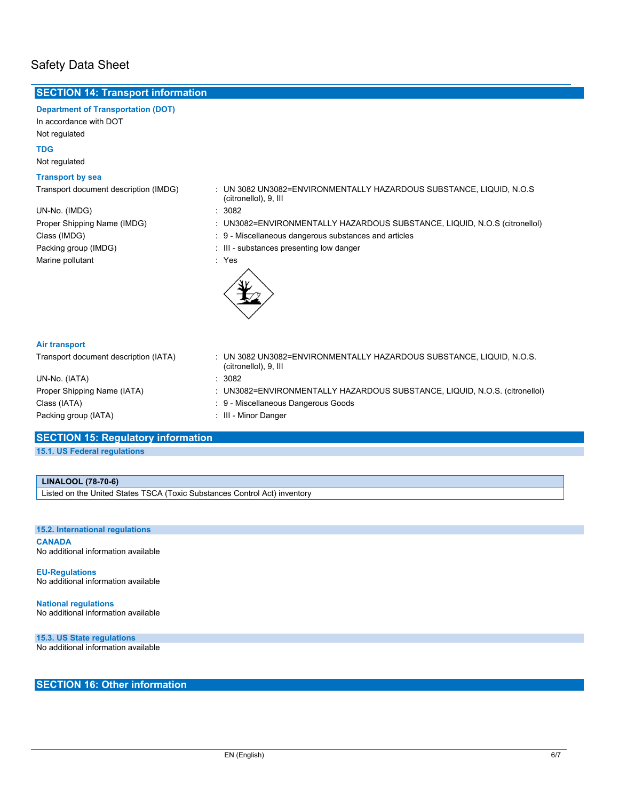### **SECTION 14: Transport information**

#### **Department of Transportation (DOT)**

In accordance with DOT Not regulated

#### **TDG**

Not regulated

#### **Transport by sea**

UN-No. (IMDG) : 3082 Marine pollutant in the set of the set of the set of the set of the set of the set of the set of the set of the set of the set of the set of the set of the set of the set of the set of the set of the set of the set of the

- Transport document description (IMDG) : UN 3082 UN3082=ENVIRONMENTALLY HAZARDOUS SUBSTANCE, LIQUID, N.O.S (citronellol), 9, III
	-
- Proper Shipping Name (IMDG) : UN3082=ENVIRONMENTALLY HAZARDOUS SUBSTANCE, LIQUID, N.O.S (citronellol)
- Class (IMDG) **Solution Class (IMDG)**  $\cdot$  9 Miscellaneous dangerous substances and articles
- Packing group (IMDG)  $\qquad \qquad \qquad$  : III substances presenting low danger



#### **Air transport**

| Transport document description (IATA) | UN 3082 UN3082=ENVIRONMENTALLY HAZARDOUS SUBSTANCE, LIQUID, N.O.S.<br>(citronellol), 9, III |
|---------------------------------------|---------------------------------------------------------------------------------------------|
| UN-No. (IATA)                         | : 3082                                                                                      |
| Proper Shipping Name (IATA)           | UN3082=ENVIRONMENTALLY HAZARDOUS SUBSTANCE, LIQUID, N.O.S. (citronellol)                    |
| Class (IATA)                          | : 9 - Miscellaneous Dangerous Goods                                                         |
| Packing group (IATA)                  | : III - Minor Danger                                                                        |

#### **SECTION 15: Regulatory information**

**15.1. US Federal regulations**

| <b>LINALOOL (78-70-6)</b> |  |
|---------------------------|--|
|                           |  |

Listed on the United States TSCA (Toxic Substances Control Act) inventory

#### **15.2. International regulations**

**CANADA** No additional information available

**EU-Regulations** No additional information available

**National regulations** No additional information available

**15.3. US State regulations** No additional information available

**SECTION 16: Other information**